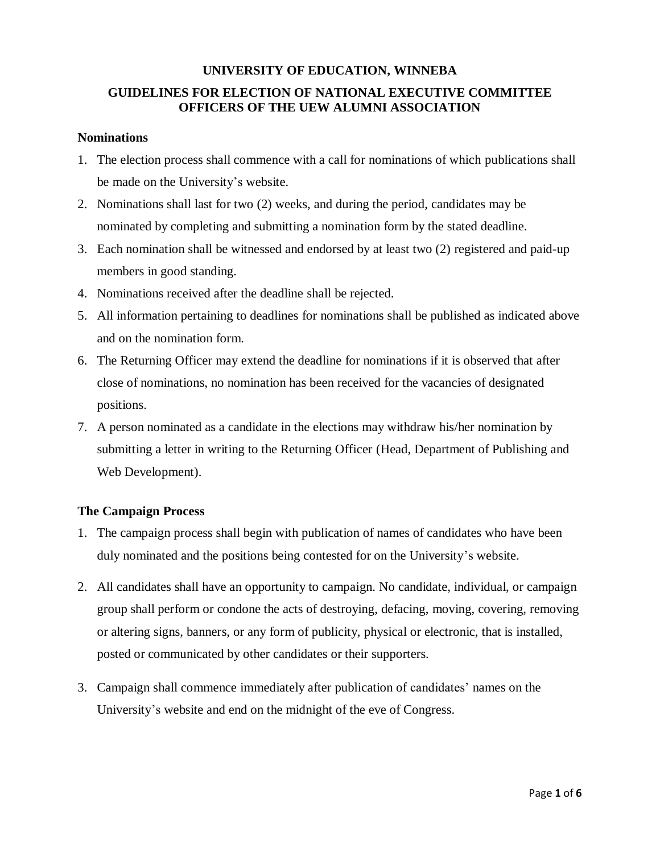# **UNIVERSITY OF EDUCATION, WINNEBA GUIDELINES FOR ELECTION OF NATIONAL EXECUTIVE COMMITTEE OFFICERS OF THE UEW ALUMNI ASSOCIATION**

#### **Nominations**

- 1. The election process shall commence with a call for nominations of which publications shall be made on the University's website.
- 2. Nominations shall last for two (2) weeks, and during the period, candidates may be nominated by completing and submitting a nomination form by the stated deadline.
- 3. Each nomination shall be witnessed and endorsed by at least two (2) registered and paid-up members in good standing.
- 4. Nominations received after the deadline shall be rejected.
- 5. All information pertaining to deadlines for nominations shall be published as indicated above and on the nomination form.
- 6. The Returning Officer may extend the deadline for nominations if it is observed that after close of nominations, no nomination has been received for the vacancies of designated positions.
- 7. A person nominated as a candidate in the elections may withdraw his/her nomination by submitting a letter in writing to the Returning Officer (Head, Department of Publishing and Web Development).

### **The Campaign Process**

- 1. The campaign process shall begin with publication of names of candidates who have been duly nominated and the positions being contested for on the University's website.
- 2. All candidates shall have an opportunity to campaign. No candidate, individual, or campaign group shall perform or condone the acts of destroying, defacing, moving, covering, removing or altering signs, banners, or any form of publicity, physical or electronic, that is installed, posted or communicated by other candidates or their supporters.
- 3. Campaign shall commence immediately after publication of candidates' names on the University's website and end on the midnight of the eve of Congress.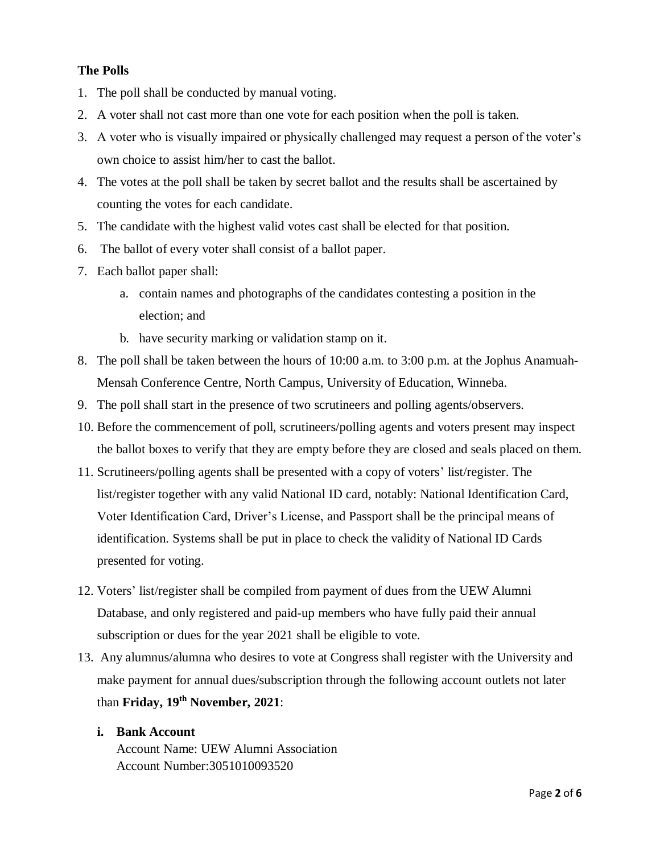# **The Polls**

- 1. The poll shall be conducted by manual voting.
- 2. A voter shall not cast more than one vote for each position when the poll is taken.
- 3. A voter who is visually impaired or physically challenged may request a person of the voter's own choice to assist him/her to cast the ballot.
- 4. The votes at the poll shall be taken by secret ballot and the results shall be ascertained by counting the votes for each candidate.
- 5. The candidate with the highest valid votes cast shall be elected for that position.
- 6. The ballot of every voter shall consist of a ballot paper.
- 7. Each ballot paper shall:
	- a. contain names and photographs of the candidates contesting a position in the election; and
	- b. have security marking or validation stamp on it.
- 8. The poll shall be taken between the hours of 10:00 a.m. to 3:00 p.m. at the Jophus Anamuah-Mensah Conference Centre, North Campus, University of Education, Winneba.
- 9. The poll shall start in the presence of two scrutineers and polling agents/observers.
- 10. Before the commencement of poll, scrutineers/polling agents and voters present may inspect the ballot boxes to verify that they are empty before they are closed and seals placed on them.
- 11. Scrutineers/polling agents shall be presented with a copy of voters' list/register. The list/register together with any valid National ID card, notably: National Identification Card, Voter Identification Card, Driver's License, and Passport shall be the principal means of identification. Systems shall be put in place to check the validity of National ID Cards presented for voting.
- 12. Voters' list/register shall be compiled from payment of dues from the UEW Alumni Database, and only registered and paid-up members who have fully paid their annual subscription or dues for the year 2021 shall be eligible to vote.
- 13. Any alumnus/alumna who desires to vote at Congress shall register with the University and make payment for annual dues/subscription through the following account outlets not later than **Friday, 19th November, 2021**:

#### **i. Bank Account**

Account Name: UEW Alumni Association Account Number:3051010093520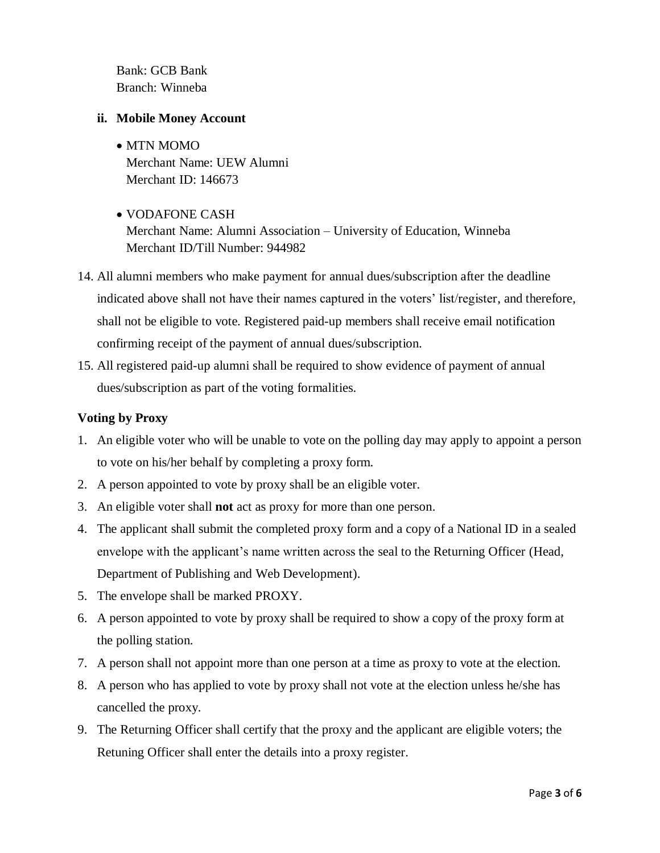Bank: GCB Bank Branch: Winneba

## **ii. Mobile Money Account**

- MTN MOMO Merchant Name: UEW Alumni Merchant ID: 146673
- VODAFONE CASH Merchant Name: Alumni Association – University of Education, Winneba Merchant ID/Till Number: 944982
- 14. All alumni members who make payment for annual dues/subscription after the deadline indicated above shall not have their names captured in the voters' list/register, and therefore, shall not be eligible to vote. Registered paid-up members shall receive email notification confirming receipt of the payment of annual dues/subscription.
- 15. All registered paid-up alumni shall be required to show evidence of payment of annual dues/subscription as part of the voting formalities.

# **Voting by Proxy**

- 1. An eligible voter who will be unable to vote on the polling day may apply to appoint a person to vote on his/her behalf by completing a proxy form.
- 2. A person appointed to vote by proxy shall be an eligible voter.
- 3. An eligible voter shall **not** act as proxy for more than one person.
- 4. The applicant shall submit the completed proxy form and a copy of a National ID in a sealed envelope with the applicant's name written across the seal to the Returning Officer (Head, Department of Publishing and Web Development).
- 5. The envelope shall be marked PROXY.
- 6. A person appointed to vote by proxy shall be required to show a copy of the proxy form at the polling station.
- 7. A person shall not appoint more than one person at a time as proxy to vote at the election.
- 8. A person who has applied to vote by proxy shall not vote at the election unless he/she has cancelled the proxy.
- 9. The Returning Officer shall certify that the proxy and the applicant are eligible voters; the Retuning Officer shall enter the details into a proxy register.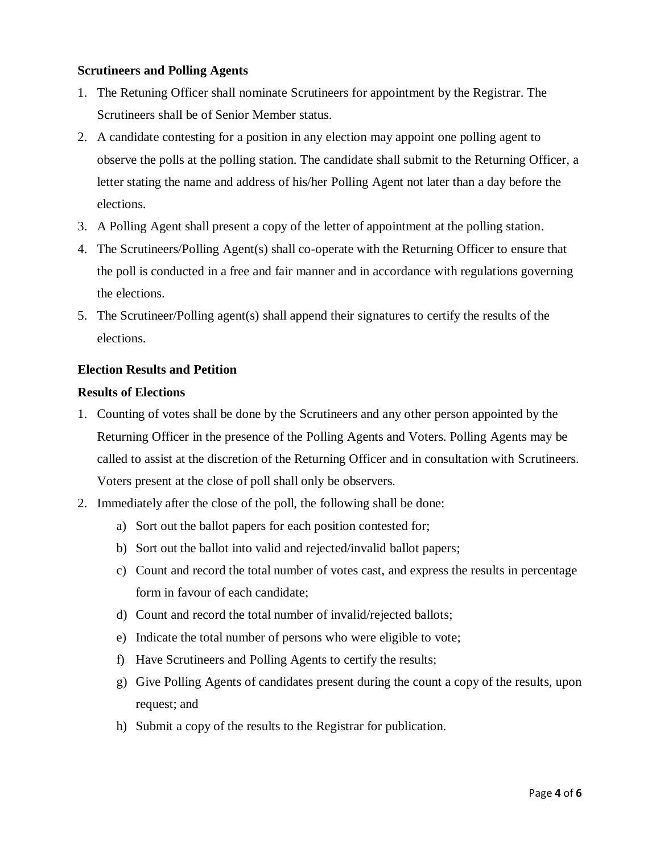# **Scrutineers and Polling Agents**

- 1. The Retuning Officer shall nominate Scrutineers for appointment by the Registrar. The Scrutineers shall be of Senior Member status.
- 2. A candidate contesting for a position in any election may appoint one polling agent to observe the polls at the polling station. The candidate shall submit to the Returning Officer, a letter stating the name and address of his/her Polling Agent not later than a day before the elections.
- 3. A Polling Agent shall present a copy of the letter of appointment at the polling station.
- 4. The Scrutineers/Polling Agent(s) shall co-operate with the Returning Officer to ensure that the poll is conducted in a free and fair manner and in accordance with regulations governing the elections.
- 5. The Scrutineer/Polling agent(s) shall append their signatures to certify the results of the elections.

# **Election Results and Petition**

### **Results of Elections**

- 1. Counting of votes shall be done by the Scrutineers and any other person appointed by the Returning Officer in the presence of the Polling Agents and Voters. Polling Agents may be called to assist at the discretion of the Returning Officer and in consultation with Scrutineers. Voters present at the close of poll shall only be observers.
- 2. Immediately after the close of the poll, the following shall be done:
	- a) Sort out the ballot papers for each position contested for;
	- b) Sort out the ballot into valid and rejected/invalid ballot papers;
	- c) Count and record the total number of votes cast, and express the results in percentage form in favour of each candidate;
	- d) Count and record the total number of invalid/rejected ballots;
	- e) Indicate the total number of persons who were eligible to vote;
	- f) Have Scrutineers and Polling Agents to certify the results;
	- g) Give Polling Agents of candidates present during the count a copy of the results, upon request; and
	- h) Submit a copy of the results to the Registrar for publication.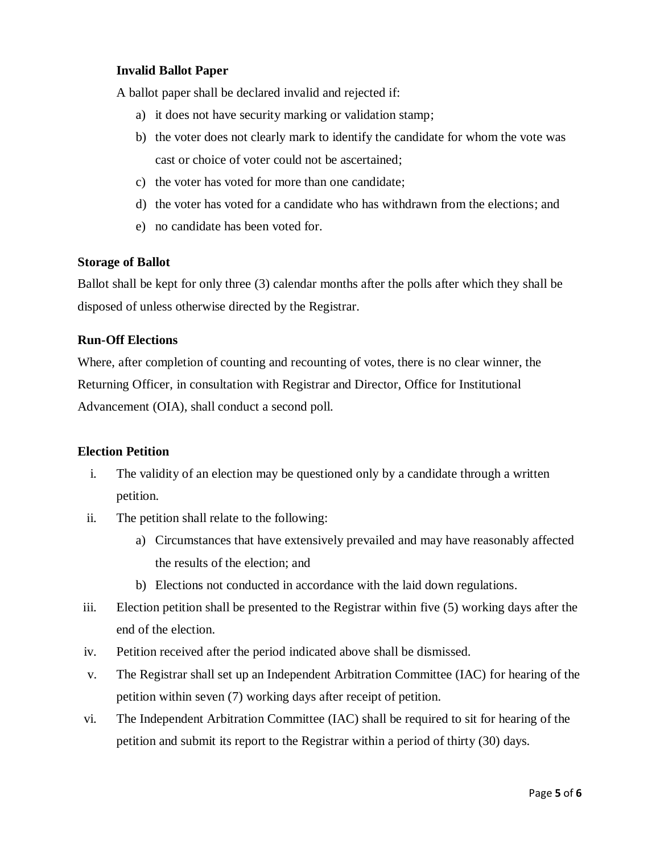# **Invalid Ballot Paper**

A ballot paper shall be declared invalid and rejected if:

- a) it does not have security marking or validation stamp;
- b) the voter does not clearly mark to identify the candidate for whom the vote was cast or choice of voter could not be ascertained;
- c) the voter has voted for more than one candidate;
- d) the voter has voted for a candidate who has withdrawn from the elections; and
- e) no candidate has been voted for.

#### **Storage of Ballot**

Ballot shall be kept for only three (3) calendar months after the polls after which they shall be disposed of unless otherwise directed by the Registrar.

#### **Run-Off Elections**

Where, after completion of counting and recounting of votes, there is no clear winner, the Returning Officer, in consultation with Registrar and Director, Office for Institutional Advancement (OIA), shall conduct a second poll.

#### **Election Petition**

- i. The validity of an election may be questioned only by a candidate through a written petition.
- ii. The petition shall relate to the following:
	- a) Circumstances that have extensively prevailed and may have reasonably affected the results of the election; and
	- b) Elections not conducted in accordance with the laid down regulations.
- iii. Election petition shall be presented to the Registrar within five (5) working days after the end of the election.
- iv. Petition received after the period indicated above shall be dismissed.
- v. The Registrar shall set up an Independent Arbitration Committee (IAC) for hearing of the petition within seven (7) working days after receipt of petition.
- vi. The Independent Arbitration Committee (IAC) shall be required to sit for hearing of the petition and submit its report to the Registrar within a period of thirty (30) days.